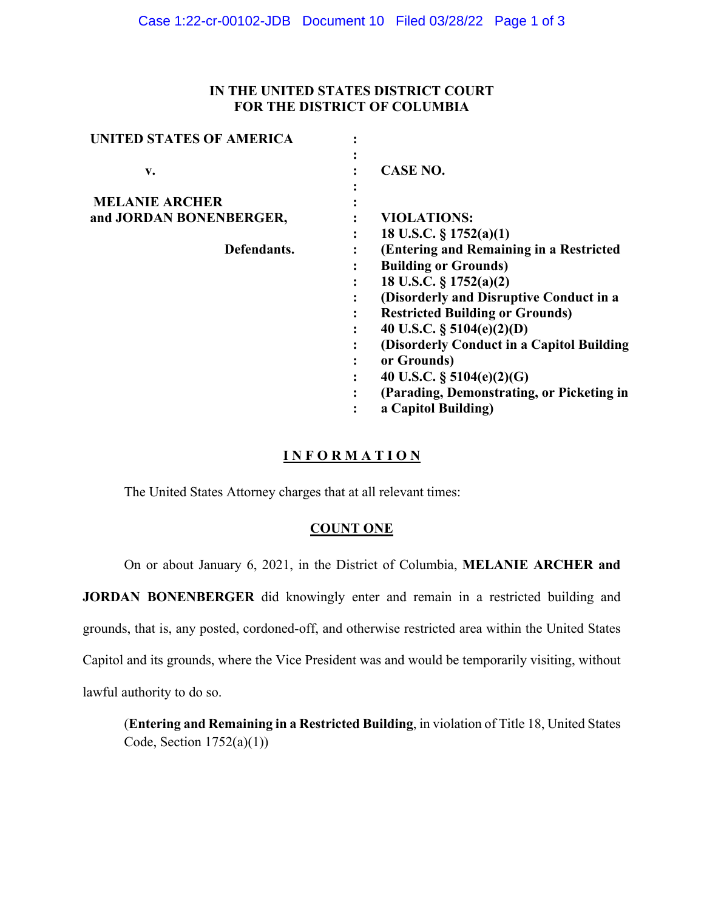## **IN THE UNITED STATES DISTRICT COURT FOR THE DISTRICT OF COLUMBIA**

| <b>UNITED STATES OF AMERICA</b> |                                           |
|---------------------------------|-------------------------------------------|
| v.                              | <b>CASE NO.</b>                           |
|                                 |                                           |
| <b>MELANIE ARCHER</b>           |                                           |
| and JORDAN BONENBERGER,         | <b>VIOLATIONS:</b>                        |
|                                 | 18 U.S.C. $\S 1752(a)(1)$                 |
| Defendants.                     | (Entering and Remaining in a Restricted   |
|                                 | <b>Building or Grounds)</b>               |
|                                 | 18 U.S.C. § 1752(a)(2)                    |
|                                 | (Disorderly and Disruptive Conduct in a   |
|                                 | <b>Restricted Building or Grounds)</b>    |
|                                 | 40 U.S.C. $\S$ 5104(e)(2)(D)              |
|                                 | (Disorderly Conduct in a Capitol Building |
|                                 | or Grounds)<br>$\bullet$                  |
|                                 | 40 U.S.C. $\S$ 5104(e)(2)(G)              |
|                                 | (Parading, Demonstrating, or Picketing in |
|                                 | a Capitol Building)                       |

# **I N F O R M A T I O N**

The United States Attorney charges that at all relevant times:

## **COUNT ONE**

On or about January 6, 2021, in the District of Columbia, **MELANIE ARCHER and** 

**JORDAN BONENBERGER** did knowingly enter and remain in a restricted building and grounds, that is, any posted, cordoned-off, and otherwise restricted area within the United States Capitol and its grounds, where the Vice President was and would be temporarily visiting, without lawful authority to do so.

(**Entering and Remaining in a Restricted Building**, in violation of Title 18, United States Code, Section  $1752(a)(1)$ )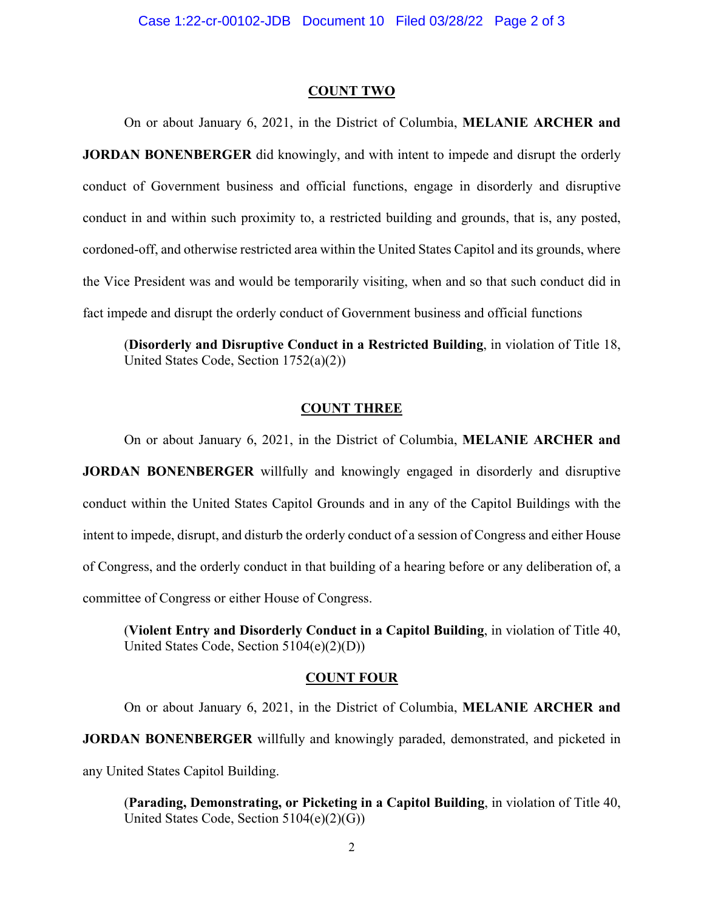#### **COUNT TWO**

On or about January 6, 2021, in the District of Columbia, **MELANIE ARCHER and JORDAN BONENBERGER** did knowingly, and with intent to impede and disrupt the orderly conduct of Government business and official functions, engage in disorderly and disruptive conduct in and within such proximity to, a restricted building and grounds, that is, any posted, cordoned-off, and otherwise restricted area within the United States Capitol and its grounds, where the Vice President was and would be temporarily visiting, when and so that such conduct did in fact impede and disrupt the orderly conduct of Government business and official functions

(**Disorderly and Disruptive Conduct in a Restricted Building**, in violation of Title 18, United States Code, Section 1752(a)(2))

## **COUNT THREE**

On or about January 6, 2021, in the District of Columbia, **MELANIE ARCHER and** 

**JORDAN BONENBERGER** willfully and knowingly engaged in disorderly and disruptive conduct within the United States Capitol Grounds and in any of the Capitol Buildings with the intent to impede, disrupt, and disturb the orderly conduct of a session of Congress and either House of Congress, and the orderly conduct in that building of a hearing before or any deliberation of, a committee of Congress or either House of Congress.

(**Violent Entry and Disorderly Conduct in a Capitol Building**, in violation of Title 40, United States Code, Section 5104(e)(2)(D))

### **COUNT FOUR**

On or about January 6, 2021, in the District of Columbia, **MELANIE ARCHER and JORDAN BONENBERGER** willfully and knowingly paraded, demonstrated, and picketed in any United States Capitol Building.

(**Parading, Demonstrating, or Picketing in a Capitol Building**, in violation of Title 40, United States Code, Section 5104(e)(2)(G))